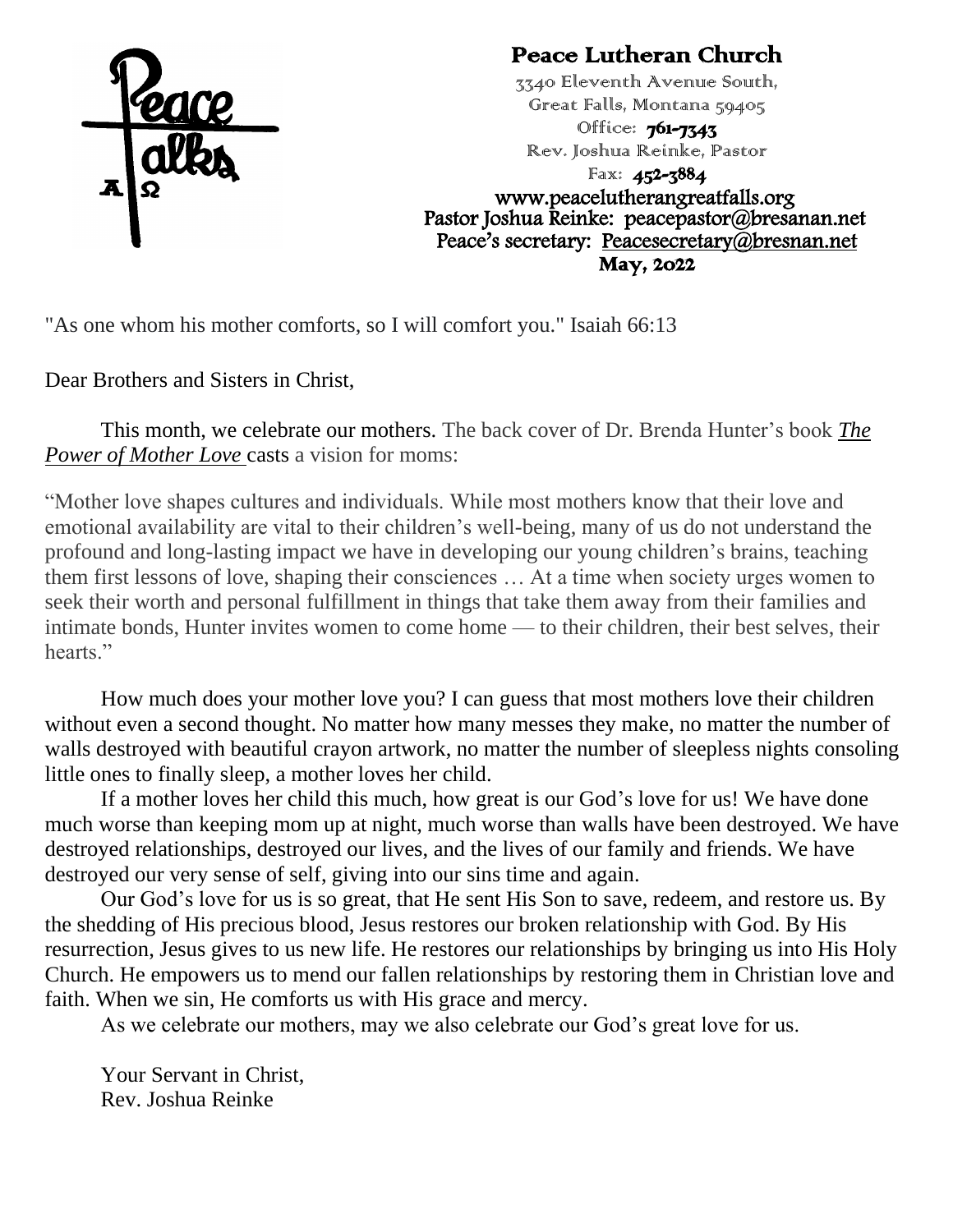

#### Peace Lutheran Church

3340 Eleventh Avenue South, Great Falls, Montana 59405 Office: **761-7343** Rev. Joshua Reinke, Pastor

Fax: 452-3884 www.peacelutherangreatfalls.org Pastor Joshua Reinke: peacepastor@bresanan.net Peace's secretary: [Peacesecretary@bresnan.net](mailto:Peacesecretary@bresnan.net)  May, 2022

"As one whom his mother comforts, so I will comfort you." Isaiah 66:13

Dear Brothers and Sisters in Christ,

This month, we celebrate our mothers. The back cover of Dr. Brenda Hunter's book *[The](https://www.penguinrandomhouse.com/books/84439/the-power-of-mother-love-by-brenda-hunter-phd/)  [Power of Mother Love](https://www.penguinrandomhouse.com/books/84439/the-power-of-mother-love-by-brenda-hunter-phd/)* casts a vision for moms:

"Mother love shapes cultures and individuals. While most mothers know that their love and emotional availability are vital to their children's well-being, many of us do not understand the profound and long-lasting impact we have in developing our young children's brains, teaching them first lessons of love, shaping their consciences … At a time when society urges women to seek their worth and personal fulfillment in things that take them away from their families and intimate bonds, Hunter invites women to come home — to their children, their best selves, their hearts."

How much does your mother love you? I can guess that most mothers love their children without even a second thought. No matter how many messes they make, no matter the number of walls destroyed with beautiful crayon artwork, no matter the number of sleepless nights consoling little ones to finally sleep, a mother loves her child.

If a mother loves her child this much, how great is our God's love for us! We have done much worse than keeping mom up at night, much worse than walls have been destroyed. We have destroyed relationships, destroyed our lives, and the lives of our family and friends. We have destroyed our very sense of self, giving into our sins time and again.

Our God's love for us is so great, that He sent His Son to save, redeem, and restore us. By the shedding of His precious blood, Jesus restores our broken relationship with God. By His resurrection, Jesus gives to us new life. He restores our relationships by bringing us into His Holy Church. He empowers us to mend our fallen relationships by restoring them in Christian love and faith. When we sin, He comforts us with His grace and mercy.

As we celebrate our mothers, may we also celebrate our God's great love for us.

Your Servant in Christ, Rev. Joshua Reinke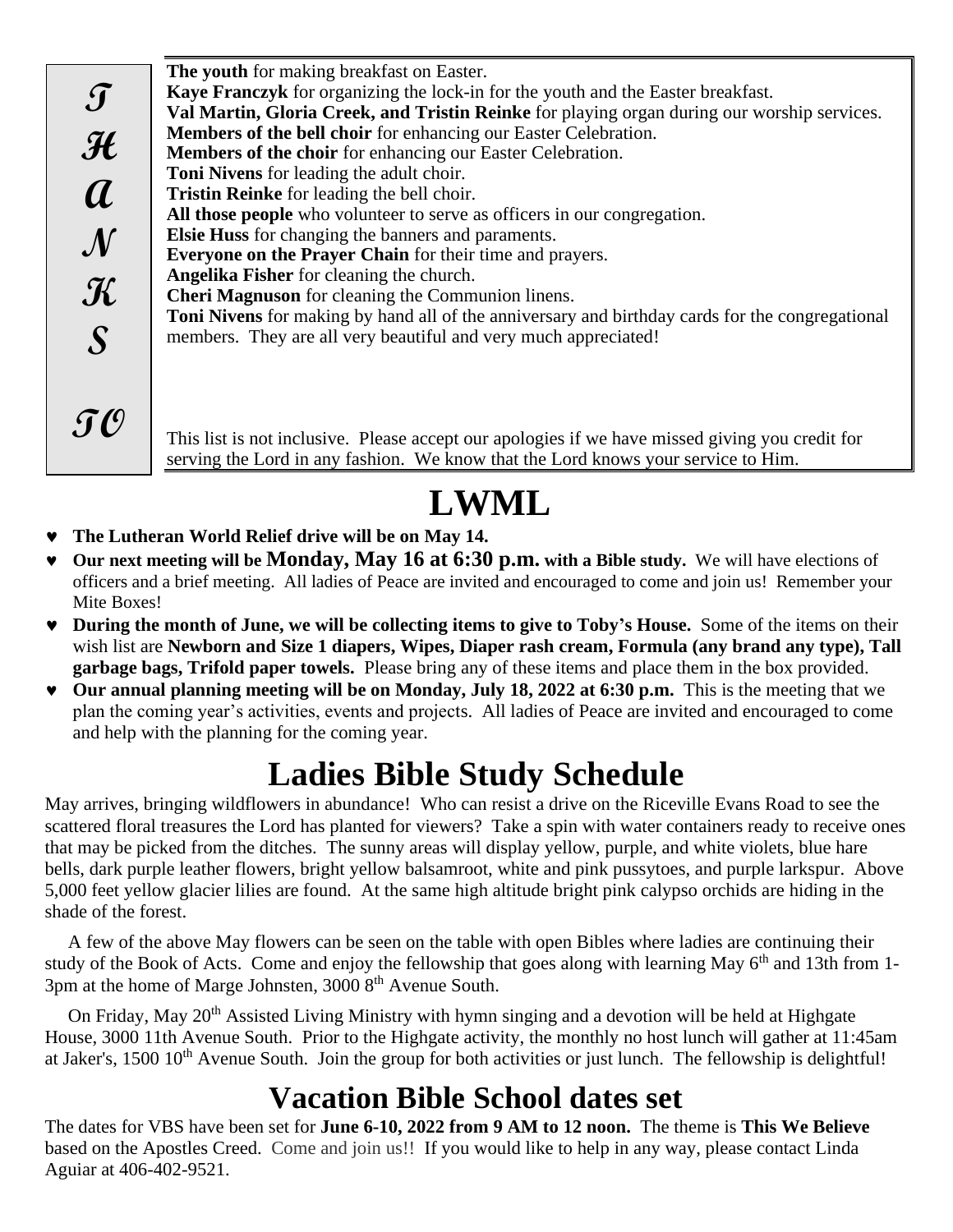**The youth** for making breakfast on Easter. **Kaye Franczyk** for organizing the lock-in for the youth and the Easter breakfast. **Val Martin, Gloria Creek, and Tristin Reinke** for playing organ during our worship services. **Members of the bell choir** for enhancing our Easter Celebration. **Members of the choir** for enhancing our Easter Celebration. **Toni Nivens** for leading the adult choir. **Tristin Reinke** for leading the bell choir. **All those people** who volunteer to serve as officers in our congregation. **Elsie Huss** for changing the banners and paraments. **Everyone on the Prayer Chain** for their time and prayers. **Angelika Fisher** for cleaning the church. **Cheri Magnuson** for cleaning the Communion linens. **Toni Nivens** for making by hand all of the anniversary and birthday cards for the congregational members. They are all very beautiful and very much appreciated! **T H A N K S TO**

This list is not inclusive. Please accept our apologies if we have missed giving you credit for serving the Lord in any fashion. We know that the Lord knows your service to Him.

## **LWML**

- **The Lutheran World Relief drive will be on May 14.**
- **Our next meeting will be Monday, May 16 at 6:30 p.m. with a Bible study.** We will have elections of officers and a brief meeting. All ladies of Peace are invited and encouraged to come and join us! Remember your Mite Boxes!
- **During the month of June, we will be collecting items to give to Toby's House.** Some of the items on their wish list are **Newborn and Size 1 diapers, Wipes, Diaper rash cream, Formula (any brand any type), Tall garbage bags, Trifold paper towels.** Please bring any of these items and place them in the box provided.
- **Our annual planning meeting will be on Monday, July 18, 2022 at 6:30 p.m.** This is the meeting that we plan the coming year's activities, events and projects. All ladies of Peace are invited and encouraged to come and help with the planning for the coming year.

## **Ladies Bible Study Schedule**

May arrives, bringing wildflowers in abundance! Who can resist a drive on the Riceville Evans Road to see the scattered floral treasures the Lord has planted for viewers? Take a spin with water containers ready to receive ones that may be picked from the ditches. The sunny areas will display yellow, purple, and white violets, blue hare bells, dark purple leather flowers, bright yellow balsamroot, white and pink pussytoes, and purple larkspur. Above 5,000 feet yellow glacier lilies are found. At the same high altitude bright pink calypso orchids are hiding in the shade of the forest.

A few of the above May flowers can be seen on the table with open Bibles where ladies are continuing their study of the Book of Acts. Come and enjoy the fellowship that goes along with learning May  $6<sup>th</sup>$  and 13th from 1-3pm at the home of Marge Johnsten, 3000 8<sup>th</sup> Avenue South.

On Friday, May 20<sup>th</sup> Assisted Living Ministry with hymn singing and a devotion will be held at Highgate House, 3000 11th Avenue South. Prior to the Highgate activity, the monthly no host lunch will gather at 11:45am at Jaker's, 1500 10<sup>th</sup> Avenue South. Join the group for both activities or just lunch. The fellowship is delightful!

### **Vacation Bible School dates set**

The dates for VBS have been set for **June 6-10, 2022 from 9 AM to 12 noon.** The theme is **This We Believe** based on the Apostles Creed. Come and join us!! If you would like to help in any way, please contact Linda Aguiar at 406-402-9521.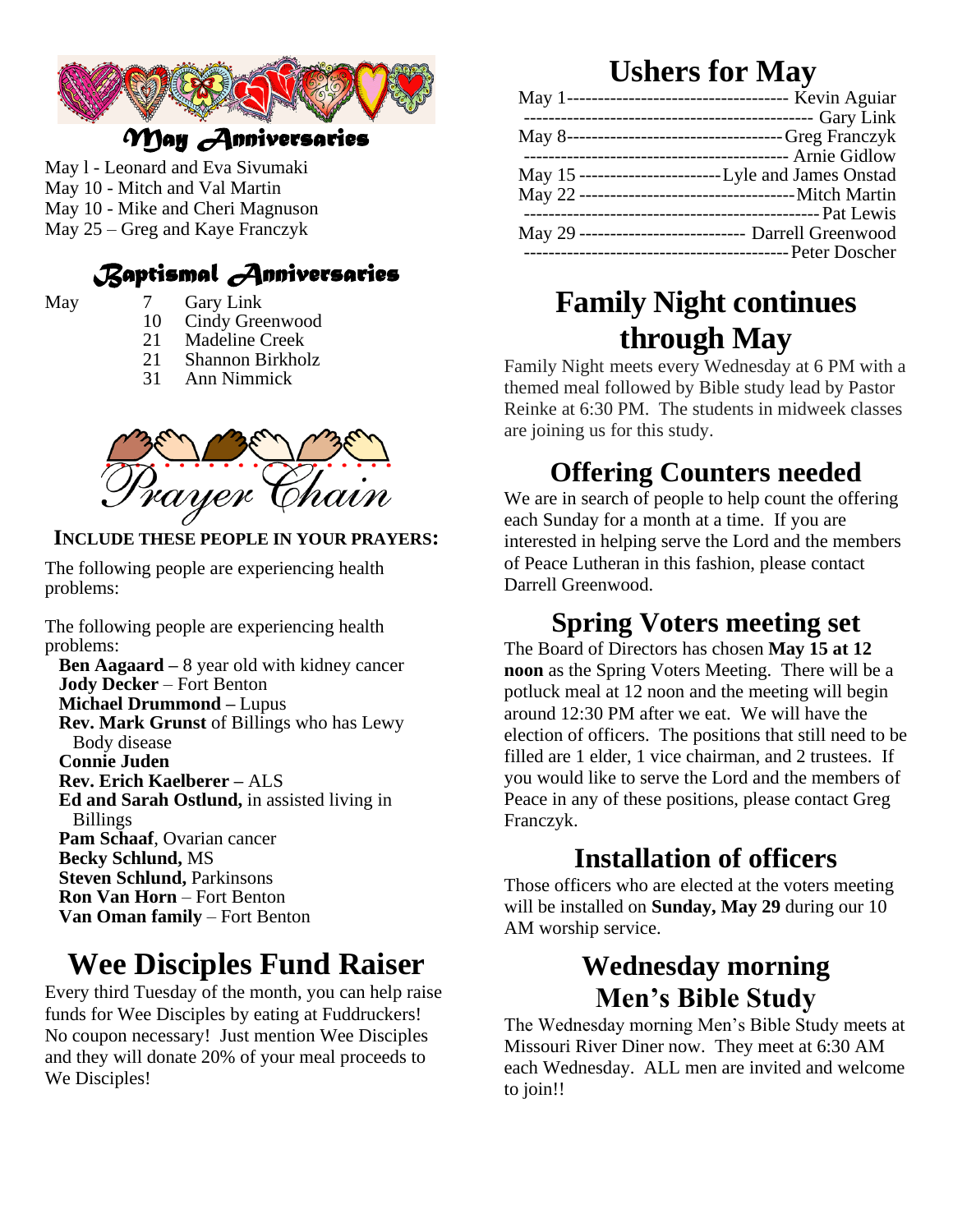

May l - Leonard and Eva Sivumaki May 10 - Mitch and Val Martin May 10 - Mike and Cheri Magnuson May 25 – Greg and Kaye Franczyk

#### *Baptismal Anniversaries*

- May 7 Gary Link
	- 10 Cindy Greenwood
	- 21 Madeline Creek<br>21 Shannon Birkho
	- Shannon Birkholz
	- 31 Ann Nimmick



**INCLUDE THESE PEOPLE IN YOUR PRAYERS:**

The following people are experiencing health problems:

The following people are experiencing health problems:

**Ben Aagaard –** 8 year old with kidney cancer **Jody Decker** – Fort Benton **Michael Drummond –** Lupus **Rev. Mark Grunst** of Billings who has Lewy Body disease **Connie Juden Rev. Erich Kaelberer –** ALS **Ed and Sarah Ostlund,** in assisted living in Billings **Pam Schaaf**, Ovarian cancer **Becky Schlund,** MS **Steven Schlund, Parkinsons Ron Van Horn** – Fort Benton **Van Oman family** – Fort Benton

## **Wee Disciples Fund Raiser**

Every third Tuesday of the month, you can help raise funds for Wee Disciples by eating at Fuddruckers! No coupon necessary! Just mention Wee Disciples and they will donate 20% of your meal proceeds to We Disciples!

## **Ushers for May**

## **Family Night continues through May**

Family Night meets every Wednesday at 6 PM with a themed meal followed by Bible study lead by Pastor Reinke at 6:30 PM. The students in midweek classes are joining us for this study.

#### **Offering Counters needed**

We are in search of people to help count the offering each Sunday for a month at a time. If you are interested in helping serve the Lord and the members of Peace Lutheran in this fashion, please contact Darrell Greenwood.

#### **Spring Voters meeting set**

The Board of Directors has chosen **May 15 at 12 noon** as the Spring Voters Meeting. There will be a potluck meal at 12 noon and the meeting will begin around 12:30 PM after we eat. We will have the election of officers. The positions that still need to be filled are 1 elder, 1 vice chairman, and 2 trustees. If you would like to serve the Lord and the members of Peace in any of these positions, please contact Greg Franczyk.

#### **Installation of officers**

Those officers who are elected at the voters meeting will be installed on **Sunday, May 29** during our 10 AM worship service.

#### **Wednesday morning Men's Bible Study**

The Wednesday morning Men's Bible Study meets at Missouri River Diner now. They meet at 6:30 AM each Wednesday. ALL men are invited and welcome to join!!